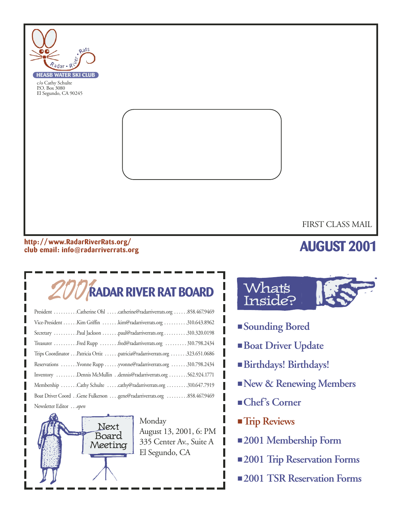

#### **http: //www.RadarRiverRats.org/ club email: info@radarriverrats.org**

## **AUGUST 2001**

## 2001**RADAR RIVER RAT BOARD**

| President Catherine Ohl catherine@radarriverrats.org 858.467.9469         |
|---------------------------------------------------------------------------|
| Vice-President Kim Griffin kim@radarriverrats.org 310.643.8962            |
| Secretary Paul Jackson paul@radarriverrats.org 310.320.0198               |
| Treasurer Fred Rupp fred@radarriverrats.org  310.798.2434                 |
| Trips Coordinator Patricia Ortiz patricia@radarriverrats.org 323.651.0686 |
| Reservations Yvonne Rupp yvonne@radarriverrats.org 310.798.2434           |
| Inventory Dennis McMullin dennis@radarriverrats.org 562.924.1771          |
| Membership Cathy Schulte cathy@radarriverrats.org 310.647.7919            |
|                                                                           |
| Newsletter Editoropen                                                     |



Monday August 13, 2001, 6: PM 335 Center Av., Suite A El Segundo, CA



- **Sounding Bored**
- **Boat Driver Update**
- **Birthdays! Birthdays!**
- ■**New & Renewing Members**
- **Chef's Corner**
- **Trip Reviews**
- **2001 Membership Form**
- **2001 Trip Reservation Forms**
- **2001 TSR Reservation Forms**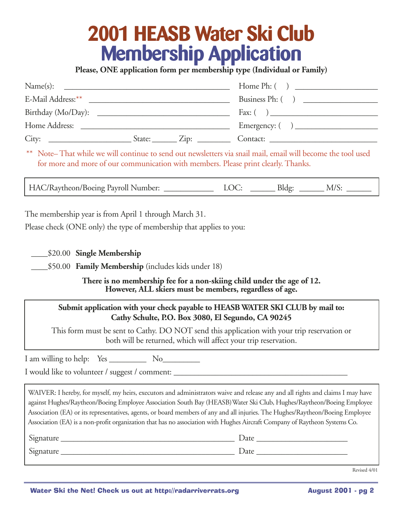## **2001 HEASB Water Ski Club Membership Application**

**Please, ONE application form per membership type (Individual or Family)**

| Name(s):                                                                                         |                                             |                                                           |
|--------------------------------------------------------------------------------------------------|---------------------------------------------|-----------------------------------------------------------|
|                                                                                                  |                                             | Business Ph: ()                                           |
|                                                                                                  |                                             | Fax: $\begin{pmatrix} 0 & 1 \\ 0 & 1 \end{pmatrix}$       |
| Home Address:<br>the contract of the contract of the contract of the contract of the contract of |                                             | Emergency: $\begin{pmatrix} 1 & 1 \\ 1 & 1 \end{pmatrix}$ |
| City:                                                                                            | $\text{State:}$ $\qquad \qquad \text{Zip:}$ | Contact:                                                  |

\*\* Note– That while we will continue to send out newsletters via snail mail, email will become the tool used for more and more of our communication with members. Please print clearly. Thanks.

HAC/Raytheon/Boeing Payroll Number: <br>LOC: \_\_\_\_\_\_\_\_\_\_ Bldg: \_\_\_\_\_\_\_\_ M/S:

The membership year is from April 1 through March 31.

Please check (ONE only) the type of membership that applies to you:

\_\_\_\_\$20.00 **Single Membership**

\_\_\_\_\$50.00 **Family Membership** (includes kids under 18)

**There is no membership fee for a non-skiing child under the age of 12. However, ALL skiers must be members, regardless of age.**

#### **Submit application with your check payable to HEASB WATER SKI CLUB by mail to: Cathy Schulte, P.O. Box 3080, El Segundo, CA 90245**

This form must be sent to Cathy. DO NOT send this application with your trip reservation or both will be returned, which will affect your trip reservation.

I am willing to help: Yes No

I would like to volunteer / suggest / comment:

WAIVER: I hereby, for myself, my heirs, executors and administrators waive and release any and all rights and claims I may have against Hughes/Raytheon/Boeing Employee Association South Bay (HEASB)Water Ski Club, Hughes/Raytheon/Boeing Employee Association (EA) or its representatives, agents, or board members of any and all injuries. The Hughes/Raytheon/Boeing Employee Association (EA) is a non-profit organization that has no association with Hughes Aircraft Company of Raytheon Systems Co.

| Signature | $\mathcal{Q}$ ate |
|-----------|-------------------|
| Signature | $\mathcal{Q}$ ate |

Revised 4/01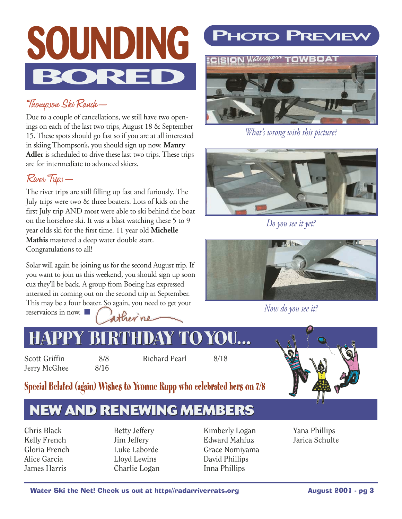

### Thompson Ski Ranch—

Due to a couple of cancellations, we still have two openings on each of the last two trips, August 18 & September 15. These spots should go fast so if you are at all interested in skiing Thompson's, you should sign up now. **Maury Adler** is scheduled to drive these last two trips. These trips are for intermediate to advanced skiers.

### River Trips—

The river trips are still filling up fast and furiously. The July trips were two & three boaters. Lots of kids on the first July trip AND most were able to ski behind the boat on the horsehoe ski. It was a blast watching these 5 to 9 year olds ski for the first time. 11 year old **Michelle Mathis** mastered a deep water double start. Congratulations to all!

Solar will again be joining us for the second August trip. If you want to join us this weekend, you should sign up soon cuz they'll be back. A group from Boeing has expressed intersted in coming out on the second trip in September. This may be a four boater. So again, you need to get your reservaions in now. ■



## **PHOTO PREVIEW**



*What's wrong with this picture?*



*Do you see it yet?*



*Now do you see it?*

## **HAPPY BIRTHDAY TOYOU... HAPPY BIRTHDAY TOYOU...**

Scott Griffin 8/8 Jerry McGhee 8/16

Richard Pearl 8/18



### **Special Belated (again) Wishes to Yvonne Rupp who celebrated hers on 7/8**

## **NEW AND RENEWING MEMBERS**

Chris Black Kelly French Gloria French Alice Garcia James Harris

Betty Jeffery Jim Jeffery Luke Laborde Lloyd Lewins Charlie Logan

Kimberly Logan Edward Mahfuz Grace Nomiyama David Phillips Inna Phillips

Yana Phillips Jarica Schulte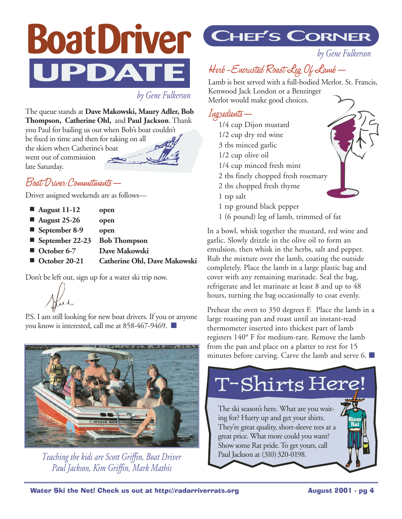# **BoatDriver UPDATE**

*by Gene Fulkerson*

The queue stands at **Dave Makowski, Maury Adler, Bob Thompson, Catherine Ohl,** and **Paul Jackson**. Thank you Paul for bailing us out when Bob's boat couldn't

be fixed in time and then for taking on all the skiers when Catherine's boat went out of commission late Saturday.

### Boat Driver Commitments—

Driver assigned weekends are as follows—

- **August 25-26 open**
- **September 8-9** open
- September 22-23 Bob Thompson
- **October 6-7** Dave Makowski
	- **October 20-21 Catherine Ohl, Dave Makowski**

Don't be left out, sign up for a water ski trip now.

P.S. I am still looking for new boat drivers. If you or anyone you know is interested, call me at 858-467-9469. ■



*Teaching the kids are Scott Griffin, Boat Driver Paul Jackson, Kim Griffin, Mark Mathis*

## **CHEF'S CORNER**

*by Gene Fulkerson*

## Herb-Encrusted Roast Leg Of Lamb—

Lamb is best served with a full-bodied Merlot. St. Francis, Kenwood Jack London or a Benzinger Merlot would make good choices.

#### Ingredients—

- 1/4 cup Dijon mustard 1/2 cup dry red wine 3 tbs minced garlic 1/2 cup olive oil 1/4 cup minced fresh mint 2 tbs finely chopped fresh rosemary 2 tbs chopped fresh thyme 1 tsp salt 1 tsp ground black pepper
- 1 (6 pound) leg of lamb, trimmed of fat

In a bowl, whisk together the mustard, red wine and garlic. Slowly drizzle in the olive oil to form an emulsion, then whisk in the herbs, salt and pepper. Rub the mixture over the lamb, coating the outside completely. Place the lamb in a large plastic bag and cover with any remaining marinade. Seal the bag, refrigerate and let marinate at least 8 and up to 48 hours, turning the bag occasionally to coat evenly.

Preheat the oven to 350 degrees F. Place the lamb in a large roasting pan and roast until an instant-read thermometer inserted into thickest part of lamb registers 140° F for medium-rare. Remove the lamb from the pan and place on a platter to rest for 15 minutes before carving. Carve the lamb and serve 6.  $\Box$ 

#### The ski season's here. What are you waiting for? Hurry up and get your shirts. They're great quality, short-sleeve tees at a great price. What more could you want? Show some Rat pride. To get yours, call Paul Jackson at (310) 320-0198. T-Shirts Here! **River Rat**



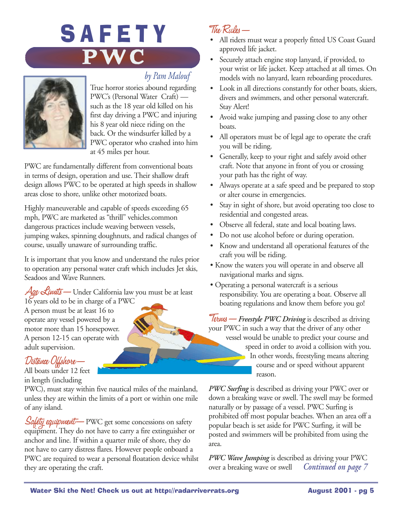## SAFETY **PWC**

### *by Pam Malouf*



True horror stories abound regarding PWC's (Personal Water Craft) such as the 18 year old killed on his first day driving a PWC and injuring his 8 year old niece riding on the back. Or the windsurfer killed by a PWC operator who crashed into him at 45 miles per hour.

PWC are fundamentally different from conventional boats in terms of design, operation and use. Their shallow draft design allows PWC to be operated at high speeds in shallow areas close to shore, unlike other motorized boats.

Highly maneuverable and capable of speeds exceeding 65 mph, PWC are marketed as "thrill" vehicles.common dangerous practices include weaving between vessels, jumping wakes, spinning doughnuts, and radical changes of course, usually unaware of surrounding traffic.

It is important that you know and understand the rules prior to operation any personal water craft which includes Jet skis, Seadoos and Wave Runners.

 $\mathcal{A}$ ge Limits — Under California law you must be at least 16 years old to be in charge of a PWC

A person must be at least 16 to operate any vessel powered by a motor more than 15 horsepower. A person 12-15 can operate with adult supervision.

#### Distance Offshore—

All boats under 12 feet in length (including

PWC), must stay within five nautical miles of the mainland, unless they are within the limits of a port or within one mile of any island.

Safety equipment—PWC get some concessions on safety equipment. They do not have to carry a fire extinguisher or anchor and line. If within a quarter mile of shore, they do not have to carry distress flares. However people onboard a PWC are required to wear a personal floatation device whilst they are operating the craft.

### The Rules—

- All riders must wear a properly fitted US Coast Guard approved life jacket.
- Securely attach engine stop lanyard, if provided, to your wrist or life jacket. Keep attached at all times. On models with no lanyard, learn reboarding procedures.
- Look in all directions constantly for other boats, skiers, divers and swimmers, and other personal watercraft. Stay Alert!
- Avoid wake jumping and passing close to any other boats.
- All operators must be of legal age to operate the craft you will be riding.
- Generally, keep to your right and safely avoid other craft. Note that anyone in front of you or crossing your path has the right of way.
- Always operate at a safe speed and be prepared to stop or alter course in emergencies.
- Stay in sight of shore, but avoid operating too close to residential and congested areas.
- Observe all federal, state and local boating laws.
- Do not use alcohol before or during operation.
- Know and understand all operational features of the craft you will be riding.
- Know the waters you will operate in and observe all navigational marks and signs.
- Operating a personal watercraft is a serious responsibility. You are operating a boat. Observe all boating regulations and know them before you go!

Terms—*Freestyle PWC Driving* is described as driving your PWC in such a way that the driver of any other vessel would be unable to predict your course and speed in order to avoid a collision with you. In other words, freestyling means altering course and or speed without apparent reason.

*PWC Surfing* is described as driving your PWC over or down a breaking wave or swell. The swell may be formed naturally or by passage of a vessel. PWC Surfing is prohibited off most popular beaches. When an area off a popular beach is set aside for PWC Surfing, it will be posted and swimmers will be prohibited from using the area.

*PWC Wave Jumping* is described as driving your PWC over a breaking wave or swell *Continued on page 7*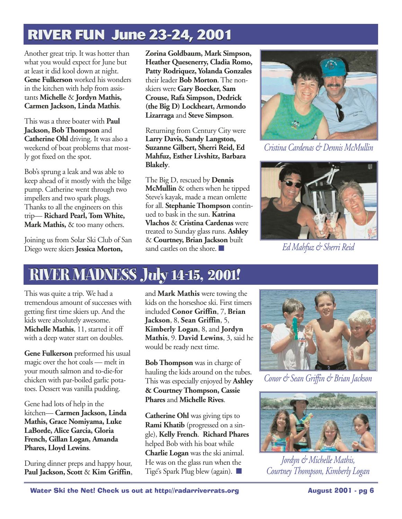## **RIVER FUN June 23-24, 2001**

Another great trip. It was hotter than what you would expect for June but at least it did kool down at night. **Gene Fulkerson** worked his wonders in the kitchen with help from assistants **Michelle** & **Jordyn Mathis, Carmen Jackson, Linda Mathis**.

This was a three boater with **Paul Jackson, Bob Thompson** and **Catherine Ohl** driving. It was also a weekend of boat problems that mostly got fixed on the spot.

Bob's sprung a leak and was able to keep ahead of it mostly with the bilge pump. Catherine went through two impellers and two spark plugs. Thanks to all the engineers on this trip— **Richard Pearl, Tom White, Mark Mathis,** & too many others.

Joining us from Solar Ski Club of San Diego were skiers **Jessica Morton,**

**Zorina Goldbaum, Mark Simpson, Heather Quesenerry, Cladia Romo, Patty Rodriquez, Yolanda Gonzales** their leader **Bob Morton**. The nonskiers were **Gary Boecker, Sam Crouse, Rafa Simpson, Dedrick (the Big D) Lockheart, Armondo Lizarraga** and **Steve Simpson**.

Returning from Century City were **Larry Davis, Sandy Langston, Suzanne Gilbert, Sherri Reid, Ed Mahfuz, Esther Livshitz, Barbara Blakely**.

The Big D, rescued by **Dennis McMullin** & others when he tipped Steve's kayak, made a mean omlette for all. **Stephanie Thompson** continued to bask in the sun. **Katrina Vlachos** & **Cristina Cardenas** were treated to Sunday glass runs. **Ashley** & **Courtney, Brian Jackson** built sand castles on the shore.



*Cristina Cardenas & Dennis McMullin*



*Ed Mahfuz & Sherri Reid*

## **RIVER MADNESS July 14-15, 2001! RIVER MADNESS July 14-15 2001!**

This was quite a trip. We had a tremendous amount of successes with getting first time skiers up. And the kids were absolutely awesome. **Michelle Mathis**, 11, started it off with a deep water start on doubles.

**Gene Fulkerson** preformed his usual magic over the hot coals — melt in your mouth salmon and to-die-for chicken with par-boiled garlic potatoes. Dessert was vanilla pudding.

Gene had lots of help in the kitchen— **Carmen Jackson, Linda Mathis, Grace Nomiyama, Luke LaBorde, Alice Garcia, Gloria French, Gillan Logan, Amanda Phares, Lloyd Lewins**.

During dinner preps and happy hour, **Paul Jackson, Scott** & **Kim Griffin**, and **Mark Mathis** were towing the kids on the horseshoe ski. First timers included **Conor Griffin**, 7, **Brian Jackson**, 8, **Sean Griffin**, 5, **Kimberly Logan**, 8, and **Jordyn Mathis**, 9. **David Lewins**, 3, said he would be ready next time.

**Bob Thompson** was in charge of hauling the kids around on the tubes. This was especially enjoyed by **Ashley & Courtney Thompson, Cassie Phares** and **Michelle Rives**.

**Catherine Ohl** was giving tips to **Rami Khatib** (progressed on a single), **Kelly French**. **Richard Phares** helped Bob with his boat while **Charlie Logan** was the ski animal. He was on the glass run when the Tigé's Spark Plug blew (again). ■



*Conor & Sean Griffin & Brian Jackson*



*Jordyn & Michelle Mathis, Courtney Thompson, Kimberly Logan*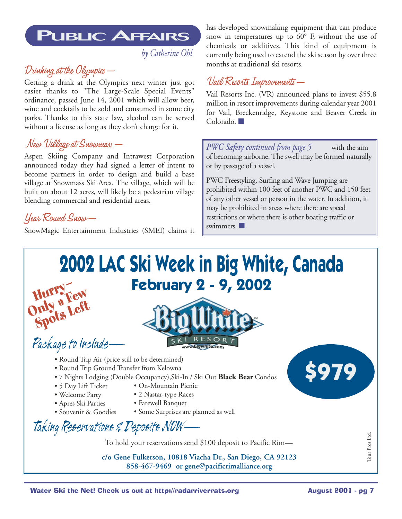## **PUBLIC AFFAIRS**

*by Catherine Ohl*

### Drinking at the Olympics—

Getting a drink at the Olympics next winter just got easier thanks to "The Large-Scale Special Events" ordinance, passed June 14, 2001 which will allow beer, wine and cocktails to be sold and consumed in some city parks. Thanks to this state law, alcohol can be served without a license as long as they don't charge for it.

#### New Village at Snowmass—

Aspen Skiing Company and Intrawest Corporation announced today they had signed a letter of intent to become partners in order to design and build a base village at Snowmass Ski Area. The village, which will be built on about 12 acres, will likely be a pedestrian village blending commercial and residential areas.

#### Year Round Snow—

**Spots Left**

SnowMagic Entertainment Industries (SMEI) claims it

has developed snowmaking equipment that can produce snow in temperatures up to 60° F, without the use of chemicals or additives. This kind of equipment is currently being used to extend the ski season by over three months at traditional ski resorts.

#### Vail Resorts Improvements—

Vail Resorts Inc. (VR) announced plans to invest \$55.8 million in resort improvements during calendar year 2001 for Vail, Breckenridge, Keystone and Beaver Creek in Colorado. **■** 

*PWC Safety continued from page 5* with the aim of becoming airborne. The swell may be formed naturally or by passage of a vessel.

PWC Freestyling, Surfing and Wave Jumping are prohibited within 100 feet of another PWC and 150 feet of any other vessel or person in the water. In addition, it may be prohibited in areas where there are speed restrictions or where there is other boating traffic or swimmers. ■

## **2002 LAC Ski Week in Big White, Canada February 2 - 9, 2002 Hurry— Hurra Few**<br>Only a Few



- Package to Include—
	- Round Trip Air (price still to be determined)
	- Round Trip Ground Transfer from Kelowna
	- 7 Nights Lodging (Double Occupancy),Ski-In / Ski Out **Black Bear** Condos
	- 5 Day Lift Ticket • On-Mountain Picnic
	- Welcome Party
- 2 Nastar-type Races
- Apres Ski Parties
- Souvenir & Goodies
- Farewell Banquet • Some Surprises are planned as well



To hold your reservations send \$100 deposit to Pacific Rim—

**c/o Gene Fulkerson, 10818 Viacha Dr., San Diego, CA 92123 858-467-9469 or gene@pacificrimalliance.org**



Tour Pros Ltd.

Tour Pros Ltd.

**\$979**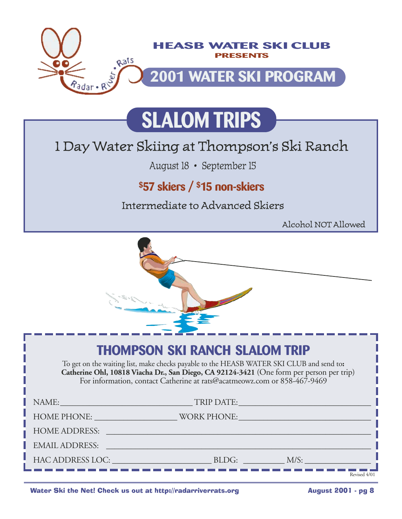

## **SLALOM TRIPS**

## 1 Day Water Skiing at Thompson's Ski Ranch

August 18 • September 15

## **\$57 skiers / \$15 non-skiers**

Intermediate to Advanced Skiers

Alcohol NOT Allowed

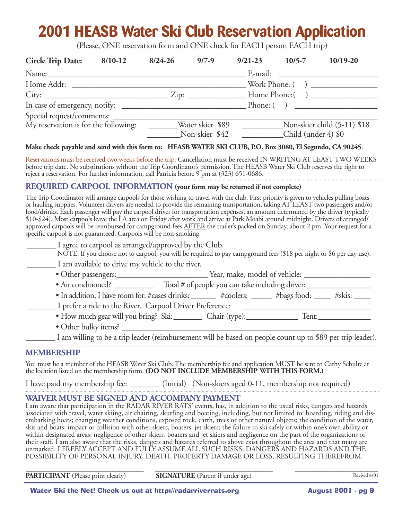## **2001 HEASB Water Ski Club Reservation Application**

(Please, ONE reservation form and ONE check for EACH person EACH trip)

| <b>Circle Trip Date:</b>             | $8/10-12$ | $8/24 - 26$ | $9/7 - 9$        | $9/21 - 23$ | $10/5 - 7$                                                  | $10/19-20$                                                 |
|--------------------------------------|-----------|-------------|------------------|-------------|-------------------------------------------------------------|------------------------------------------------------------|
| Name:                                |           |             |                  | E-mail:     | <u> 1989 - Andrea Station Books, amerikansk politiker (</u> |                                                            |
| Home Addr:                           |           |             |                  |             |                                                             |                                                            |
| City:                                |           |             |                  |             |                                                             | Home Phone: $\begin{pmatrix} 1 & 1 \\ 1 & 1 \end{pmatrix}$ |
|                                      |           |             |                  |             |                                                             | Phone: ( )                                                 |
|                                      |           |             |                  |             |                                                             |                                                            |
| My reservation is for the following: |           |             | Water skier \$89 |             |                                                             | Non-skier child (5-11) \$18                                |
|                                      |           |             | Non-skier \$42   |             | Child (under 4) \$0                                         |                                                            |

#### **Make check payable and send with this form to: HEASB WATER SKI CLUB, P.O. Box 3080, El Segundo, CA 90245**.

Reservations must be received two weeks before the trip. Cancellation must be received IN WRITING AT LEAST TWO WEEKS before trip date. No substitutions without the Trip Coordinator's permission. The HEASB Water Ski Club reserves the right to reject a reservation. For further information, call Patricia before 9 pm at (323) 651-0686. 

#### **REQUIRED CARPOOL INFORMATION (your form may be returned if not complete)**

The Trip Coordinator will arrange carpools for those wishing to travel with the club. First priority is given to vehicles pulling boats or hauling supplies. Volunteer drivers are needed to provide the remaining transportation, taking AT LEAST two passengers and/or food/drinks. Each passenger will pay the carpool driver for transportation expenses, an amount determined by the driver (typically \$10-\$24). Most carpools leave the LA area on Friday after work and arrive at Park Moabi around midnight. Drivers of arranged/ approved carpools will be reimbursed for campground fees AFTER the trailer's packed on Sunday, about 2 pm. Your request for a specific carpool is not guaranteed. Carpools will be non-smoking.

| I agree to carpool as arranged/approved by the Club.                                                                 |                                                                             |  |  |  |
|----------------------------------------------------------------------------------------------------------------------|-----------------------------------------------------------------------------|--|--|--|
| NOTE: If you choose not to carpool, you will be required to pay campground fees (\$18 per night or \$6 per day use). |                                                                             |  |  |  |
| I am available to drive my vehicle to the river.                                                                     |                                                                             |  |  |  |
| • Other passengers:                                                                                                  | Year, make, model of vehicle:                                               |  |  |  |
| $\bullet$ Air conditioned?                                                                                           | Total # of people you can take including driver:                            |  |  |  |
|                                                                                                                      | • In addition, I have room for: #cases drinks: #coolers: #bags food: #skis: |  |  |  |
| I prefer a ride to the River. Carpool Driver Preference:                                                             |                                                                             |  |  |  |
| $\mathbf{r}$ , and the contract of $\mathbf{r}$                                                                      |                                                                             |  |  |  |

- How much gear will you bring? Ski:\_\_\_\_\_\_\_ Chair (type):\_\_\_\_\_\_\_\_\_\_\_\_\_ Tent:\_\_\_\_\_\_\_\_\_\_\_\_\_ • Other bulky items?  $\Box$
- \_\_\_\_\_\_\_ I am willing to be a trip leader (reimbursement will be based on people count up to \$89 per trip leader).

#### **MEMBERSHIP**

You must be a member of the HEASB Water Ski Club. The membership fee and application MUST be sent to Cathy Schulte at the location listed on the membership form. **(DO NOT INCLUDE MEMBERSHIP WITH THIS FORM.)**

I have paid my membership fee: \_\_\_\_\_\_\_ (Initial) (Non-skiers aged 0-11, membership not required)

#### **WAIVER MUST BE SIGNED AND ACCOMPANY PAYMENT**

I am aware that participation in the RADAR RIVER RATS' events, has, in addition to the usual risks, dangers and hazards associated with travel, water skiing, air chairing, skurfing and boating, including, but not limited to: boarding, riding and disembarking boats; changing weather conditions, exposed rock, earth, trees or other natural objects; the condition of the water, skis and boats; impact or collision with other skiers, boaters, jet skiers; the failure to ski safely or within one's own ability or within designated areas; negligence of other skiers, boaters and jet skiers and negligence on the part of the organizations or their staff. I am also aware that the risks, dangers and hazards referred to above exist throughout the area and that many are unmarked. I FREELY ACCEPT AND FULLY ASSUME ALL SUCH RISKS, DANGERS AND HAZARDS AND THE POSSIBILITY OF PERSONAL INJURY, DEATH, PROPERTY DAMAGE OR LOSS, RESULTING THEREFROM.

\_\_\_\_\_\_\_\_\_\_\_\_\_\_\_\_\_\_\_\_\_\_\_\_\_\_\_\_\_\_\_\_\_\_ \_\_\_\_\_\_\_\_\_\_\_\_\_\_\_\_\_\_\_\_\_\_\_\_\_\_\_\_\_\_\_\_\_\_ \_\_\_\_\_\_\_\_\_\_\_\_\_\_\_\_\_\_\_\_\_\_\_\_ **PARTICIPANT** (Please print clearly) **SIGNATURE** (Parent if under age)